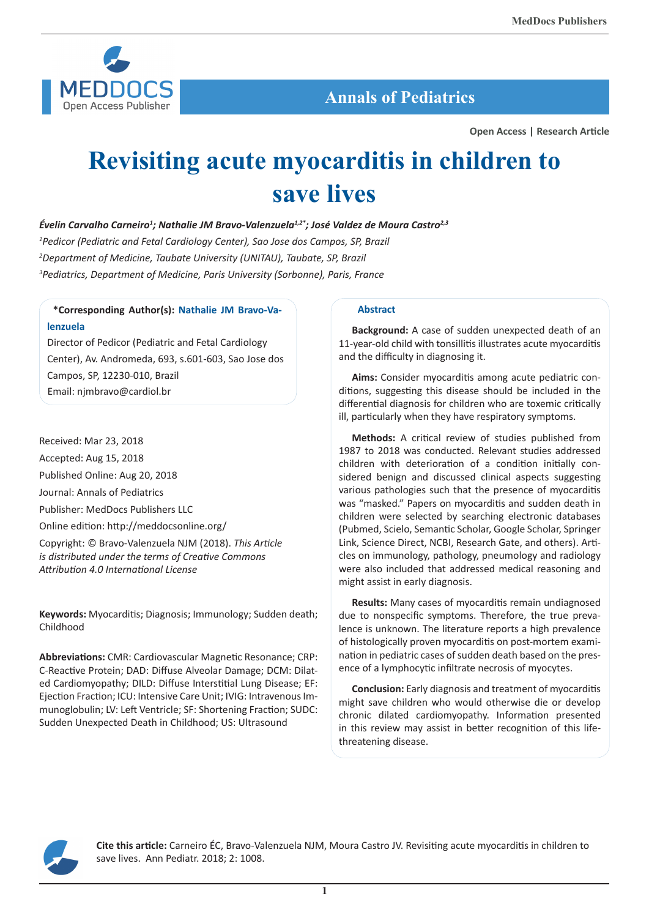

 **Annals of Pediatrics**

**Open Access | Research Article**

# **Revisiting acute myocarditis in children to save lives**

*Évelin Carvalho Carneiro1 ; Nathalie JM Bravo-Valenzuela1,2\*; José Valdez de Moura Castro2,3* 

*1 Pedicor (Pediatric and Fetal Cardiology Center), Sao Jose dos Campos, SP, Brazil 2 Department of Medicine, Taubate University (UNITAU), Taubate, SP, Brazil*

*3 Pediatrics, Department of Medicine, Paris University (Sorbonne), Paris, France*

# **\*Corresponding Author(s): Nathalie JM Bravo-Valenzuela**

Director of Pedicor (Pediatric and Fetal Cardiology Center), Av. Andromeda, 693, s.601-603, Sao Jose dos Campos, SP, 12230-010, Brazil Email: njmbravo@cardiol.br

Received: Mar 23, 2018 Accepted: Aug 15, 2018 Published Online: Aug 20, 2018 Journal: Annals of Pediatrics Publisher: MedDocs Publishers LLC Online edition: http://meddocsonline.org/

Copyright: © Bravo-Valenzuela NJM (2018). *This Article is distributed under the terms of Creative Commons Attribution 4.0 International License*

**Keywords:** Myocarditis; Diagnosis; Immunology; Sudden death; Childhood

**Abbreviations:** CMR: Cardiovascular Magnetic Resonance; CRP: C-Reactive Protein; DAD: Diffuse Alveolar Damage; DCM: Dilated Cardiomyopathy; DILD: Diffuse Interstitial Lung Disease; EF: Ejection Fraction; ICU: Intensive Care Unit; IVIG: Intravenous Immunoglobulin; LV: Left Ventricle; SF: Shortening Fraction; SUDC: Sudden Unexpected Death in Childhood; US: Ultrasound

# **Abstract**

**Background:** A case of sudden unexpected death of an 11-year-old child with tonsillitis illustrates acute myocarditis and the difficulty in diagnosing it.

**Aims:** Consider myocarditis among acute pediatric conditions, suggesting this disease should be included in the differential diagnosis for children who are toxemic critically ill, particularly when they have respiratory symptoms.

**Methods:** A critical review of studies published from 1987 to 2018 was conducted. Relevant studies addressed children with deterioration of a condition initially considered benign and discussed clinical aspects suggesting various pathologies such that the presence of myocarditis was "masked." Papers on myocarditis and sudden death in children were selected by searching electronic databases (Pubmed, Scielo, Semantic Scholar, Google Scholar, Springer Link, Science Direct, NCBI, Research Gate, and others). Articles on immunology, pathology, pneumology and radiology were also included that addressed medical reasoning and might assist in early diagnosis.

**Results:** Many cases of myocarditis remain undiagnosed due to nonspecific symptoms. Therefore, the true prevalence is unknown. The literature reports a high prevalence of histologically proven myocarditis on post-mortem examination in pediatric cases of sudden death based on the presence of a lymphocytic infiltrate necrosis of myocytes.

**Conclusion:** Early diagnosis and treatment of myocarditis might save children who would otherwise die or develop chronic dilated cardiomyopathy. Information presented in this review may assist in better recognition of this lifethreatening disease.



**Cite this article:** Carneiro ÉC, Bravo-Valenzuela NJM, Moura Castro JV. Revisiting acute myocarditis in children to save lives. Ann Pediatr. 2018; 2: 1008.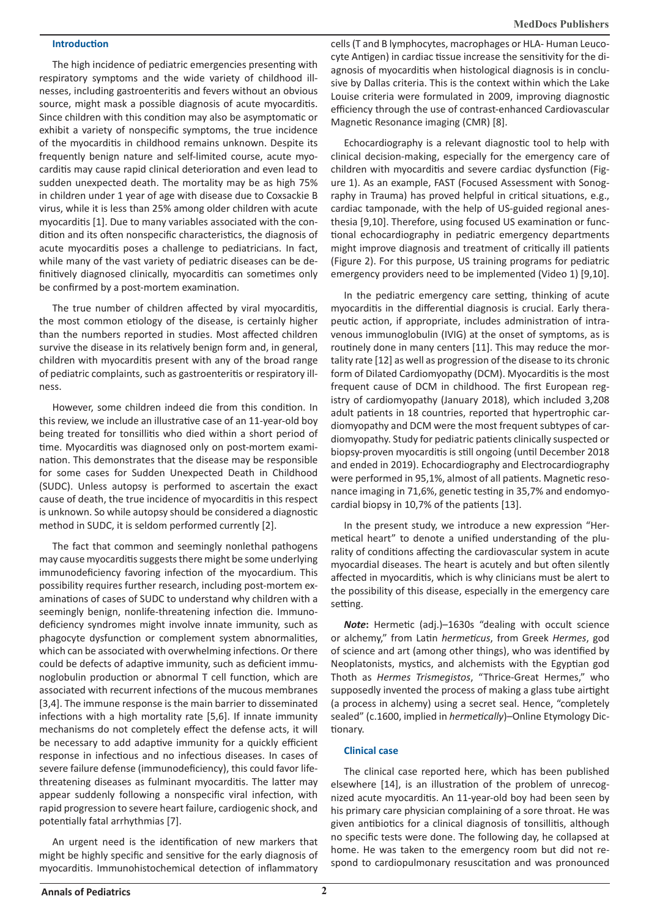#### **Introduction**

The high incidence of pediatric emergencies presenting with respiratory symptoms and the wide variety of childhood illnesses, including gastroenteritis and fevers without an obvious source, might mask a possible diagnosis of acute myocarditis. Since children with this condition may also be asymptomatic or exhibit a variety of nonspecific symptoms, the true incidence of the myocarditis in childhood remains unknown. Despite its frequently benign nature and self-limited course, acute myocarditis may cause rapid clinical deterioration and even lead to sudden unexpected death. The mortality may be as high 75% in children under 1 year of age with disease due to Coxsackie B virus, while it is less than 25% among older children with acute myocarditis [1]. Due to many variables associated with the condition and its often nonspecific characteristics, the diagnosis of acute myocarditis poses a challenge to pediatricians. In fact, while many of the vast variety of pediatric diseases can be definitively diagnosed clinically, myocarditis can sometimes only be confirmed by a post-mortem examination.

The true number of children affected by viral myocarditis, the most common etiology of the disease, is certainly higher than the numbers reported in studies. Most affected children survive the disease in its relatively benign form and, in general, children with myocarditis present with any of the broad range of pediatric complaints, such as gastroenteritis or respiratory illness.

However, some children indeed die from this condition. In this review, we include an illustrative case of an 11-year-old boy being treated for tonsillitis who died within a short period of time. Myocarditis was diagnosed only on post-mortem examination. This demonstrates that the disease may be responsible for some cases for Sudden Unexpected Death in Childhood (SUDC). Unless autopsy is performed to ascertain the exact cause of death, the true incidence of myocarditis in this respect is unknown. So while autopsy should be considered a diagnostic method in SUDC, it is seldom performed currently [2].

The fact that common and seemingly nonlethal pathogens may cause myocarditis suggests there might be some underlying immunodeficiency favoring infection of the myocardium. This possibility requires further research, including post-mortem examinations of cases of SUDC to understand why children with a seemingly benign, nonlife-threatening infection die. Immunodeficiency syndromes might involve innate immunity, such as phagocyte dysfunction or complement system abnormalities, which can be associated with overwhelming infections. Or there could be defects of adaptive immunity, such as deficient immunoglobulin production or abnormal T cell function, which are associated with recurrent infections of the mucous membranes [3,4]. The immune response is the main barrier to disseminated infections with a high mortality rate [5,6]. If innate immunity mechanisms do not completely effect the defense acts, it will be necessary to add adaptive immunity for a quickly efficient response in infectious and no infectious diseases. In cases of severe failure defense (immunodeficiency), this could favor lifethreatening diseases as fulminant myocarditis. The latter may appear suddenly following a nonspecific viral infection, with rapid progression to severe heart failure, cardiogenic shock, and potentially fatal arrhythmias [7].

An urgent need is the identification of new markers that might be highly specific and sensitive for the early diagnosis of myocarditis. Immunohistochemical detection of inflammatory

cells (T and B lymphocytes, macrophages or HLA- Human Leucocyte Antigen) in cardiac tissue increase the sensitivity for the diagnosis of myocarditis when histological diagnosis is in conclusive by Dallas criteria. This is the context within which the Lake Louise criteria were formulated in 2009, improving diagnostic efficiency through the use of contrast-enhanced Cardiovascular Magnetic Resonance imaging (CMR) [8].

Echocardiography is a relevant diagnostic tool to help with clinical decision-making, especially for the emergency care of children with myocarditis and severe cardiac dysfunction (Figure 1). As an example, FAST (Focused Assessment with Sonography in Trauma) has proved helpful in critical situations, e.g., cardiac tamponade, with the help of US-guided regional anesthesia [9,10]. Therefore, using focused US examination or functional echocardiography in pediatric emergency departments might improve diagnosis and treatment of critically ill patients (Figure 2). For this purpose, US training programs for pediatric emergency providers need to be implemented (Video 1) [9,10].

In the pediatric emergency care setting, thinking of acute myocarditis in the differential diagnosis is crucial. Early therapeutic action, if appropriate, includes administration of intravenous immunoglobulin (IVIG) at the onset of symptoms, as is routinely done in many centers [11]. This may reduce the mortality rate [12] as well as progression of the disease to its chronic form of Dilated Cardiomyopathy (DCM). Myocarditis is the most frequent cause of DCM in childhood. The first European registry of cardiomyopathy (January 2018), which included 3,208 adult patients in 18 countries, reported that hypertrophic cardiomyopathy and DCM were the most frequent subtypes of cardiomyopathy. Study for pediatric patients clinically suspected or biopsy-proven myocarditis is still ongoing (until December 2018 and ended in 2019). Echocardiography and Electrocardiography were performed in 95,1%, almost of all patients. Magnetic resonance imaging in 71,6%, genetic testing in 35,7% and endomyocardial biopsy in 10,7% of the patients [13].

In the present study, we introduce a new expression "Hermetical heart" to denote a unified understanding of the plurality of conditions affecting the cardiovascular system in acute myocardial diseases. The heart is acutely and but often silently affected in myocarditis, which is why clinicians must be alert to the possibility of this disease, especially in the emergency care setting.

*Note***:** Hermetic (adj.)–1630s "dealing with occult science or alchemy," from Latin *hermeticus*, from Greek *Hermes*, god of science and art (among other things), who was identified by Neoplatonists, mystics, and alchemists with the Egyptian god Thoth as *Hermes Trismegistos*, "Thrice-Great Hermes," who supposedly invented the process of making a glass tube airtight (a process in alchemy) using a secret seal. Hence, "completely sealed" (c.1600, implied in *hermetically*)–Online Etymology Dictionary.

# **Clinical case**

The clinical case reported here, which has been published elsewhere [14], is an illustration of the problem of unrecognized acute myocarditis. An 11-year-old boy had been seen by his primary care physician complaining of a sore throat. He was given antibiotics for a clinical diagnosis of tonsillitis, although no specific tests were done. The following day, he collapsed at home. He was taken to the emergency room but did not respond to cardiopulmonary resuscitation and was pronounced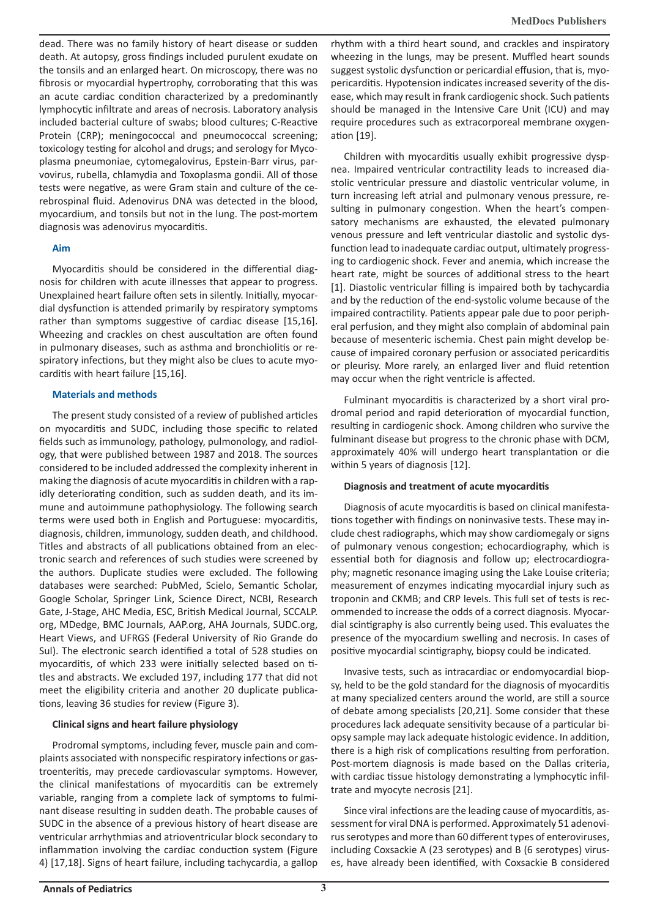dead. There was no family history of heart disease or sudden death. At autopsy, gross findings included purulent exudate on the tonsils and an enlarged heart. On microscopy, there was no fibrosis or myocardial hypertrophy, corroborating that this was an acute cardiac condition characterized by a predominantly lymphocytic infiltrate and areas of necrosis. Laboratory analysis included bacterial culture of swabs; blood cultures; C-Reactive Protein (CRP); meningococcal and pneumococcal screening; toxicology testing for alcohol and drugs; and serology for Mycoplasma pneumoniae, cytomegalovirus, Epstein-Barr virus, parvovirus, rubella, chlamydia and Toxoplasma gondii. All of those tests were negative, as were Gram stain and culture of the cerebrospinal fluid. Adenovirus DNA was detected in the blood, myocardium, and tonsils but not in the lung. The post-mortem diagnosis was adenovirus myocarditis.

#### **Aim**

Myocarditis should be considered in the differential diagnosis for children with acute illnesses that appear to progress. Unexplained heart failure often sets in silently. Initially, myocardial dysfunction is attended primarily by respiratory symptoms rather than symptoms suggestive of cardiac disease [15,16]. Wheezing and crackles on chest auscultation are often found in pulmonary diseases, such as asthma and bronchiolitis or respiratory infections, but they might also be clues to acute myocarditis with heart failure [15,16].

#### **Materials and methods**

The present study consisted of a review of published articles on myocarditis and SUDC, including those specific to related fields such as immunology, pathology, pulmonology, and radiology, that were published between 1987 and 2018. The sources considered to be included addressed the complexity inherent in making the diagnosis of acute myocarditis in children with a rapidly deteriorating condition, such as sudden death, and its immune and autoimmune pathophysiology. The following search terms were used both in English and Portuguese: myocarditis, diagnosis, children, immunology, sudden death, and childhood. Titles and abstracts of all publications obtained from an electronic search and references of such studies were screened by the authors. Duplicate studies were excluded. The following databases were searched: PubMed, Scielo, Semantic Scholar, Google Scholar, Springer Link, Science Direct, NCBI, Research Gate, J-Stage, AHC Media, ESC, British Medical Journal, SCCALP. org, MDedge, BMC Journals, AAP.org, AHA Journals, SUDC.org, Heart Views, and UFRGS (Federal University of Rio Grande do Sul). The electronic search identified a total of 528 studies on myocarditis, of which 233 were initially selected based on titles and abstracts. We excluded 197, including 177 that did not meet the eligibility criteria and another 20 duplicate publications, leaving 36 studies for review (Figure 3).

# **Clinical signs and heart failure physiology**

Prodromal symptoms, including fever, muscle pain and complaints associated with nonspecific respiratory infections or gastroenteritis, may precede cardiovascular symptoms. However, the clinical manifestations of myocarditis can be extremely variable, ranging from a complete lack of symptoms to fulminant disease resulting in sudden death. The probable causes of SUDC in the absence of a previous history of heart disease are ventricular arrhythmias and atrioventricular block secondary to inflammation involving the cardiac conduction system (Figure 4) [17,18]. Signs of heart failure, including tachycardia, a gallop

rhythm with a third heart sound, and crackles and inspiratory wheezing in the lungs, may be present. Muffled heart sounds suggest systolic dysfunction or pericardial effusion, that is, myopericarditis. Hypotension indicates increased severity of the disease, which may result in frank cardiogenic shock. Such patients should be managed in the Intensive Care Unit (ICU) and may require procedures such as extracorporeal membrane oxygenation [19].

Children with myocarditis usually exhibit progressive dyspnea. Impaired ventricular contractility leads to increased diastolic ventricular pressure and diastolic ventricular volume, in turn increasing left atrial and pulmonary venous pressure, resulting in pulmonary congestion. When the heart's compensatory mechanisms are exhausted, the elevated pulmonary venous pressure and left ventricular diastolic and systolic dysfunction lead to inadequate cardiac output, ultimately progressing to cardiogenic shock. Fever and anemia, which increase the heart rate, might be sources of additional stress to the heart [1]. Diastolic ventricular filling is impaired both by tachycardia and by the reduction of the end-systolic volume because of the impaired contractility. Patients appear pale due to poor peripheral perfusion, and they might also complain of abdominal pain because of mesenteric ischemia. Chest pain might develop because of impaired coronary perfusion or associated pericarditis or pleurisy. More rarely, an enlarged liver and fluid retention may occur when the right ventricle is affected.

Fulminant myocarditis is characterized by a short viral prodromal period and rapid deterioration of myocardial function, resulting in cardiogenic shock. Among children who survive the fulminant disease but progress to the chronic phase with DCM, approximately 40% will undergo heart transplantation or die within 5 years of diagnosis [12].

#### **Diagnosis and treatment of acute myocarditis**

Diagnosis of acute myocarditis is based on clinical manifestations together with findings on noninvasive tests. These may include chest radiographs, which may show cardiomegaly or signs of pulmonary venous congestion; echocardiography, which is essential both for diagnosis and follow up; electrocardiography; magnetic resonance imaging using the Lake Louise criteria; measurement of enzymes indicating myocardial injury such as troponin and CKMB; and CRP levels. This full set of tests is recommended to increase the odds of a correct diagnosis. Myocardial scintigraphy is also currently being used. This evaluates the presence of the myocardium swelling and necrosis. In cases of positive myocardial scintigraphy, biopsy could be indicated.

Invasive tests, such as intracardiac or endomyocardial biopsy, held to be the gold standard for the diagnosis of myocarditis at many specialized centers around the world, are still a source of debate among specialists [20,21]. Some consider that these procedures lack adequate sensitivity because of a particular biopsy sample may lack adequate histologic evidence. In addition, there is a high risk of complications resulting from perforation. Post-mortem diagnosis is made based on the Dallas criteria, with cardiac tissue histology demonstrating a lymphocytic infiltrate and myocyte necrosis [21].

Since viral infections are the leading cause of myocarditis, assessment for viral DNA is performed. Approximately 51 adenovirus serotypes and more than 60 different types of enteroviruses, including Coxsackie A (23 serotypes) and B (6 serotypes) viruses, have already been identified, with Coxsackie B considered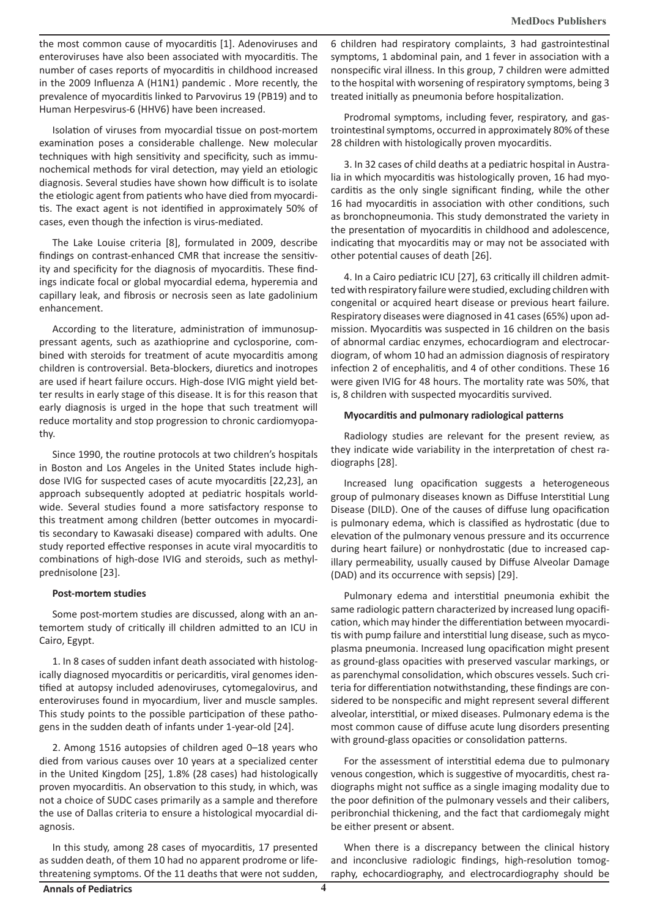the most common cause of myocarditis [1]. Adenoviruses and enteroviruses have also been associated with myocarditis. The number of cases reports of myocarditis in childhood increased in the 2009 Influenza A (H1N1) pandemic . More recently, the prevalence of myocarditis linked to Parvovirus 19 (PB19) and to Human Herpesvirus-6 (HHV6) have been increased.

Isolation of viruses from myocardial tissue on post-mortem examination poses a considerable challenge. New molecular techniques with high sensitivity and specificity, such as immunochemical methods for viral detection, may yield an etiologic diagnosis. Several studies have shown how difficult is to isolate the etiologic agent from patients who have died from myocarditis. The exact agent is not identified in approximately 50% of cases, even though the infection is virus-mediated.

The Lake Louise criteria [8], formulated in 2009, describe findings on contrast-enhanced CMR that increase the sensitivity and specificity for the diagnosis of myocarditis. These findings indicate focal or global myocardial edema, hyperemia and capillary leak, and fibrosis or necrosis seen as late gadolinium enhancement.

According to the literature, administration of immunosuppressant agents, such as azathioprine and cyclosporine, combined with steroids for treatment of acute myocarditis among children is controversial. Beta-blockers, diuretics and inotropes are used if heart failure occurs. High-dose IVIG might yield better results in early stage of this disease. It is for this reason that early diagnosis is urged in the hope that such treatment will reduce mortality and stop progression to chronic cardiomyopathy.

Since 1990, the routine protocols at two children's hospitals in Boston and Los Angeles in the United States include highdose IVIG for suspected cases of acute myocarditis [22,23], an approach subsequently adopted at pediatric hospitals worldwide. Several studies found a more satisfactory response to this treatment among children (better outcomes in myocarditis secondary to Kawasaki disease) compared with adults. One study reported effective responses in acute viral myocarditis to combinations of high-dose IVIG and steroids, such as methylprednisolone [23].

# **Post-mortem studies**

Some post-mortem studies are discussed, along with an antemortem study of critically ill children admitted to an ICU in Cairo, Egypt.

1. In 8 cases of sudden infant death associated with histologically diagnosed myocarditis or pericarditis, viral genomes identified at autopsy included adenoviruses, cytomegalovirus, and enteroviruses found in myocardium, liver and muscle samples. This study points to the possible participation of these pathogens in the sudden death of infants under 1-year-old [24].

2. Among 1516 autopsies of children aged 0–18 years who died from various causes over 10 years at a specialized center in the United Kingdom [25], 1.8% (28 cases) had histologically proven myocarditis. An observation to this study, in which, was not a choice of SUDC cases primarily as a sample and therefore the use of Dallas criteria to ensure a histological myocardial diagnosis.

In this study, among 28 cases of myocarditis, 17 presented as sudden death, of them 10 had no apparent prodrome or lifethreatening symptoms. Of the 11 deaths that were not sudden, 6 children had respiratory complaints, 3 had gastrointestinal symptoms, 1 abdominal pain, and 1 fever in association with a nonspecific viral illness. In this group, 7 children were admitted to the hospital with worsening of respiratory symptoms, being 3 treated initially as pneumonia before hospitalization.

Prodromal symptoms, including fever, respiratory, and gastrointestinal symptoms, occurred in approximately 80% of these 28 children with histologically proven myocarditis.

3. In 32 cases of child deaths at a pediatric hospital in Australia in which myocarditis was histologically proven, 16 had myocarditis as the only single significant finding, while the other 16 had myocarditis in association with other conditions, such as bronchopneumonia. This study demonstrated the variety in the presentation of myocarditis in childhood and adolescence, indicating that myocarditis may or may not be associated with other potential causes of death [26].

4. In a Cairo pediatric ICU [27], 63 critically ill children admitted with respiratory failure were studied, excluding children with congenital or acquired heart disease or previous heart failure. Respiratory diseases were diagnosed in 41 cases (65%) upon admission. Myocarditis was suspected in 16 children on the basis of abnormal cardiac enzymes, echocardiogram and electrocardiogram, of whom 10 had an admission diagnosis of respiratory infection 2 of encephalitis, and 4 of other conditions. These 16 were given IVIG for 48 hours. The mortality rate was 50%, that is, 8 children with suspected myocarditis survived.

# **Myocarditis and pulmonary radiological patterns**

Radiology studies are relevant for the present review, as they indicate wide variability in the interpretation of chest radiographs [28].

Increased lung opacification suggests a heterogeneous group of pulmonary diseases known as Diffuse Interstitial Lung Disease (DILD). One of the causes of diffuse lung opacification is pulmonary edema, which is classified as hydrostatic (due to elevation of the pulmonary venous pressure and its occurrence during heart failure) or nonhydrostatic (due to increased capillary permeability, usually caused by Diffuse Alveolar Damage (DAD) and its occurrence with sepsis) [29].

Pulmonary edema and interstitial pneumonia exhibit the same radiologic pattern characterized by increased lung opacification, which may hinder the differentiation between myocarditis with pump failure and interstitial lung disease, such as mycoplasma pneumonia. Increased lung opacification might present as ground-glass opacities with preserved vascular markings, or as parenchymal consolidation, which obscures vessels. Such criteria for differentiation notwithstanding, these findings are considered to be nonspecific and might represent several different alveolar, interstitial, or mixed diseases. Pulmonary edema is the most common cause of diffuse acute lung disorders presenting with ground-glass opacities or consolidation patterns.

For the assessment of interstitial edema due to pulmonary venous congestion, which is suggestive of myocarditis, chest radiographs might not suffice as a single imaging modality due to the poor definition of the pulmonary vessels and their calibers, peribronchial thickening, and the fact that cardiomegaly might be either present or absent.

When there is a discrepancy between the clinical history and inconclusive radiologic findings, high-resolution tomography, echocardiography, and electrocardiography should be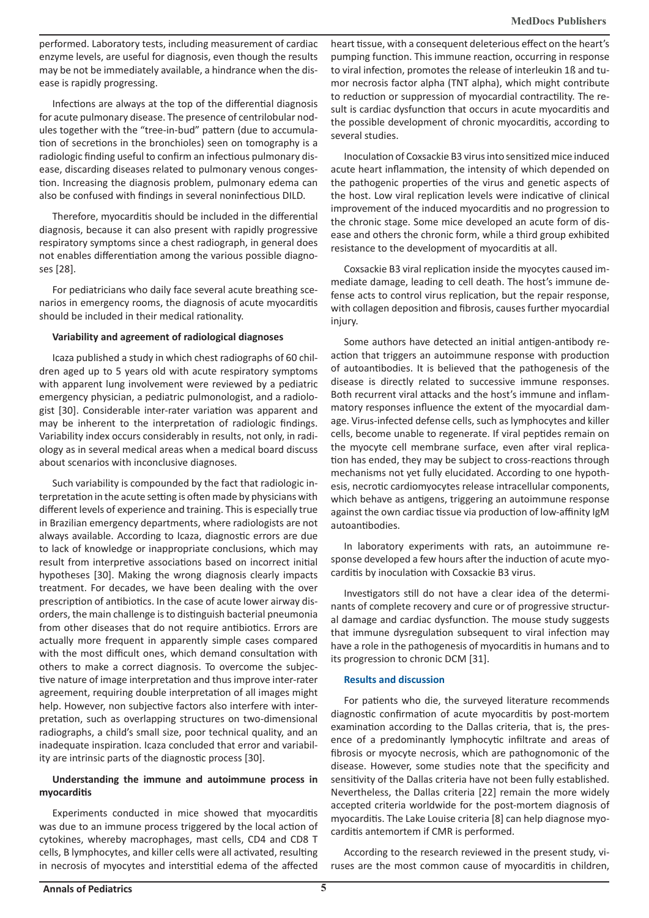performed. Laboratory tests, including measurement of cardiac enzyme levels, are useful for diagnosis, even though the results may be not be immediately available, a hindrance when the disease is rapidly progressing.

Infections are always at the top of the differential diagnosis for acute pulmonary disease. The presence of centrilobular nodules together with the "tree-in-bud" pattern (due to accumulation of secretions in the bronchioles) seen on tomography is a radiologic finding useful to confirm an infectious pulmonary disease, discarding diseases related to pulmonary venous congestion. Increasing the diagnosis problem, pulmonary edema can also be confused with findings in several noninfectious DILD.

Therefore, myocarditis should be included in the differential diagnosis, because it can also present with rapidly progressive respiratory symptoms since a chest radiograph, in general does not enables differentiation among the various possible diagnoses [28].

For pediatricians who daily face several acute breathing scenarios in emergency rooms, the diagnosis of acute myocarditis should be included in their medical rationality.

#### **Variability and agreement of radiological diagnoses**

Icaza published a study in which chest radiographs of 60 children aged up to 5 years old with acute respiratory symptoms with apparent lung involvement were reviewed by a pediatric emergency physician, a pediatric pulmonologist, and a radiologist [30]. Considerable inter-rater variation was apparent and may be inherent to the interpretation of radiologic findings. Variability index occurs considerably in results, not only, in radiology as in several medical areas when a medical board discuss about scenarios with inconclusive diagnoses.

Such variability is compounded by the fact that radiologic interpretation in the acute setting is often made by physicians with different levels of experience and training. This is especially true in Brazilian emergency departments, where radiologists are not always available. According to Icaza, diagnostic errors are due to lack of knowledge or inappropriate conclusions, which may result from interpretive associations based on incorrect initial hypotheses [30]. Making the wrong diagnosis clearly impacts treatment. For decades, we have been dealing with the over prescription of antibiotics. In the case of acute lower airway disorders, the main challenge is to distinguish bacterial pneumonia from other diseases that do not require antibiotics. Errors are actually more frequent in apparently simple cases compared with the most difficult ones, which demand consultation with others to make a correct diagnosis. To overcome the subjective nature of image interpretation and thus improve inter-rater agreement, requiring double interpretation of all images might help. However, non subjective factors also interfere with interpretation, such as overlapping structures on two-dimensional radiographs, a child's small size, poor technical quality, and an inadequate inspiration. Icaza concluded that error and variability are intrinsic parts of the diagnostic process [30].

# **Understanding the immune and autoimmune process in myocarditis**

Experiments conducted in mice showed that myocarditis was due to an immune process triggered by the local action of cytokines, whereby macrophages, mast cells, CD4 and CD8 T cells, B lymphocytes, and killer cells were all activated, resulting in necrosis of myocytes and interstitial edema of the affected

heart tissue, with a consequent deleterious effect on the heart's pumping function. This immune reaction, occurring in response to viral infection, promotes the release of interleukin 1ß and tumor necrosis factor alpha (TNT alpha), which might contribute to reduction or suppression of myocardial contractility. The result is cardiac dysfunction that occurs in acute myocarditis and the possible development of chronic myocarditis, according to several studies.

Inoculation of Coxsackie B3 virus into sensitized mice induced acute heart inflammation, the intensity of which depended on the pathogenic properties of the virus and genetic aspects of the host. Low viral replication levels were indicative of clinical improvement of the induced myocarditis and no progression to the chronic stage. Some mice developed an acute form of disease and others the chronic form, while a third group exhibited resistance to the development of myocarditis at all.

Coxsackie B3 viral replication inside the myocytes caused immediate damage, leading to cell death. The host's immune defense acts to control virus replication, but the repair response, with collagen deposition and fibrosis, causes further myocardial injury.

Some authors have detected an initial antigen-antibody reaction that triggers an autoimmune response with production of autoantibodies. It is believed that the pathogenesis of the disease is directly related to successive immune responses. Both recurrent viral attacks and the host's immune and inflammatory responses influence the extent of the myocardial damage. Virus-infected defense cells, such as lymphocytes and killer cells, become unable to regenerate. If viral peptides remain on the myocyte cell membrane surface, even after viral replication has ended, they may be subject to cross-reactions through mechanisms not yet fully elucidated. According to one hypothesis, necrotic cardiomyocytes release intracellular components, which behave as antigens, triggering an autoimmune response against the own cardiac tissue via production of low-affinity IgM autoantibodies.

In laboratory experiments with rats, an autoimmune response developed a few hours after the induction of acute myocarditis by inoculation with Coxsackie B3 virus.

Investigators still do not have a clear idea of the determinants of complete recovery and cure or of progressive structural damage and cardiac dysfunction. The mouse study suggests that immune dysregulation subsequent to viral infection may have a role in the pathogenesis of myocarditis in humans and to its progression to chronic DCM [31].

# **Results and discussion**

For patients who die, the surveyed literature recommends diagnostic confirmation of acute myocarditis by post-mortem examination according to the Dallas criteria, that is, the presence of a predominantly lymphocytic infiltrate and areas of fibrosis or myocyte necrosis, which are pathognomonic of the disease. However, some studies note that the specificity and sensitivity of the Dallas criteria have not been fully established. Nevertheless, the Dallas criteria [22] remain the more widely accepted criteria worldwide for the post-mortem diagnosis of myocarditis. The Lake Louise criteria [8] can help diagnose myocarditis antemortem if CMR is performed.

According to the research reviewed in the present study, viruses are the most common cause of myocarditis in children,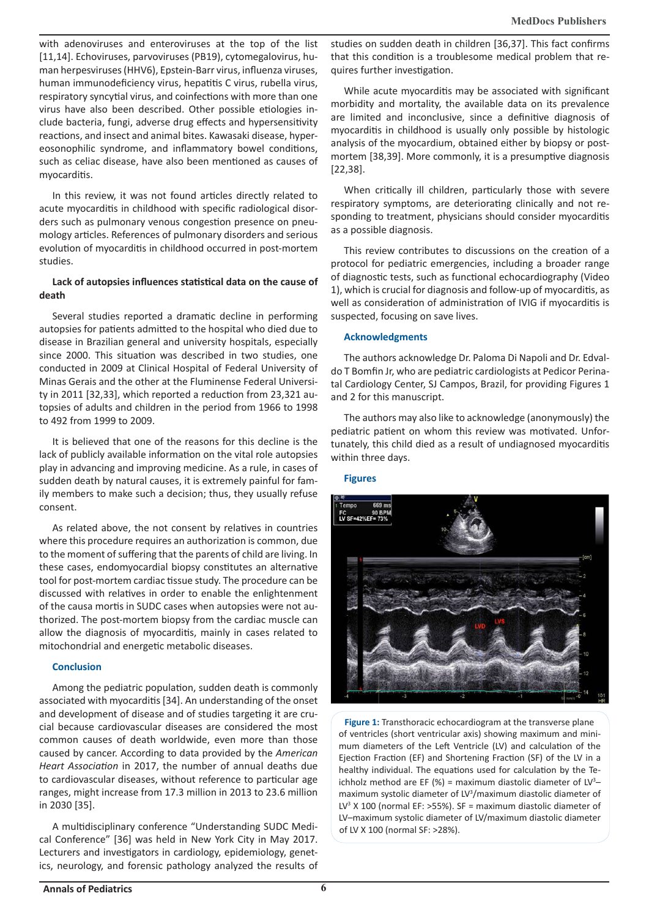with adenoviruses and enteroviruses at the top of the list [11,14]. Echoviruses, parvoviruses (PB19), cytomegalovirus, human herpesviruses (HHV6), Epstein-Barr virus, influenza viruses, human immunodeficiency virus, hepatitis C virus, rubella virus, respiratory syncytial virus, and coinfections with more than one virus have also been described. Other possible etiologies include bacteria, fungi, adverse drug effects and hypersensitivity reactions, and insect and animal bites. Kawasaki disease, hypereosonophilic syndrome, and inflammatory bowel conditions, such as celiac disease, have also been mentioned as causes of myocarditis.

In this review, it was not found articles directly related to acute myocarditis in childhood with specific radiological disorders such as pulmonary venous congestion presence on pneumology articles. References of pulmonary disorders and serious evolution of myocarditis in childhood occurred in post-mortem studies.

# **Lack of autopsies influences statistical data on the cause of death**

Several studies reported a dramatic decline in performing autopsies for patients admitted to the hospital who died due to disease in Brazilian general and university hospitals, especially since 2000. This situation was described in two studies, one conducted in 2009 at Clinical Hospital of Federal University of Minas Gerais and the other at the Fluminense Federal University in 2011 [32,33], which reported a reduction from 23,321 autopsies of adults and children in the period from 1966 to 1998 to 492 from 1999 to 2009.

It is believed that one of the reasons for this decline is the lack of publicly available information on the vital role autopsies play in advancing and improving medicine. As a rule, in cases of sudden death by natural causes, it is extremely painful for family members to make such a decision; thus, they usually refuse consent.

As related above, the not consent by relatives in countries where this procedure requires an authorization is common, due to the moment of suffering that the parents of child are living. In these cases, endomyocardial biopsy constitutes an alternative tool for post-mortem cardiac tissue study. The procedure can be discussed with relatives in order to enable the enlightenment of the causa mortis in SUDC cases when autopsies were not authorized. The post-mortem biopsy from the cardiac muscle can allow the diagnosis of myocarditis, mainly in cases related to mitochondrial and energetic metabolic diseases.

# **Conclusion**

Among the pediatric population, sudden death is commonly associated with myocarditis [34]. An understanding of the onset and development of disease and of studies targeting it are crucial because cardiovascular diseases are considered the most common causes of death worldwide, even more than those caused by cancer. According to data provided by the *American Heart Association* in 2017, the number of annual deaths due to cardiovascular diseases, without reference to particular age ranges, might increase from 17.3 million in 2013 to 23.6 million in 2030 [35].

A multidisciplinary conference "Understanding SUDC Medical Conference" [36] was held in New York City in May 2017. Lecturers and investigators in cardiology, epidemiology, genetics, neurology, and forensic pathology analyzed the results of studies on sudden death in children [36,37]. This fact confirms that this condition is a troublesome medical problem that requires further investigation.

While acute myocarditis may be associated with significant morbidity and mortality, the available data on its prevalence are limited and inconclusive, since a definitive diagnosis of myocarditis in childhood is usually only possible by histologic analysis of the myocardium, obtained either by biopsy or postmortem [38,39]. More commonly, it is a presumptive diagnosis [22,38].

When critically ill children, particularly those with severe respiratory symptoms, are deteriorating clinically and not responding to treatment, physicians should consider myocarditis as a possible diagnosis.

This review contributes to discussions on the creation of a protocol for pediatric emergencies, including a broader range of diagnostic tests, such as functional echocardiography (Video 1), which is crucial for diagnosis and follow-up of myocarditis, as well as consideration of administration of IVIG if myocarditis is suspected, focusing on save lives.

# **Acknowledgments**

The authors acknowledge Dr. Paloma Di Napoli and Dr. Edvaldo T Bomfin Jr, who are pediatric cardiologists at Pedicor Perinatal Cardiology Center, SJ Campos, Brazil, for providing Figures 1 and 2 for this manuscript.

The authors may also like to acknowledge (anonymously) the pediatric patient on whom this review was motivated. Unfortunately, this child died as a result of undiagnosed myocarditis within three days.

# **Figures**



**Figure 1:** Transthoracic echocardiogram at the transverse plane of ventricles (short ventricular axis) showing maximum and minimum diameters of the Left Ventricle (LV) and calculation of the Ejection Fraction (EF) and Shortening Fraction (SF) of the LV in a healthy individual. The equations used for calculation by the Teichholz method are EF  $(\%)$  = maximum diastolic diameter of LV<sup>3</sup>maximum systolic diameter of LV<sup>3</sup> /maximum diastolic diameter of LV<sup>3</sup> X 100 (normal EF: >55%). SF = maximum diastolic diameter of LV–maximum systolic diameter of LV/maximum diastolic diameter of LV X 100 (normal SF: >28%).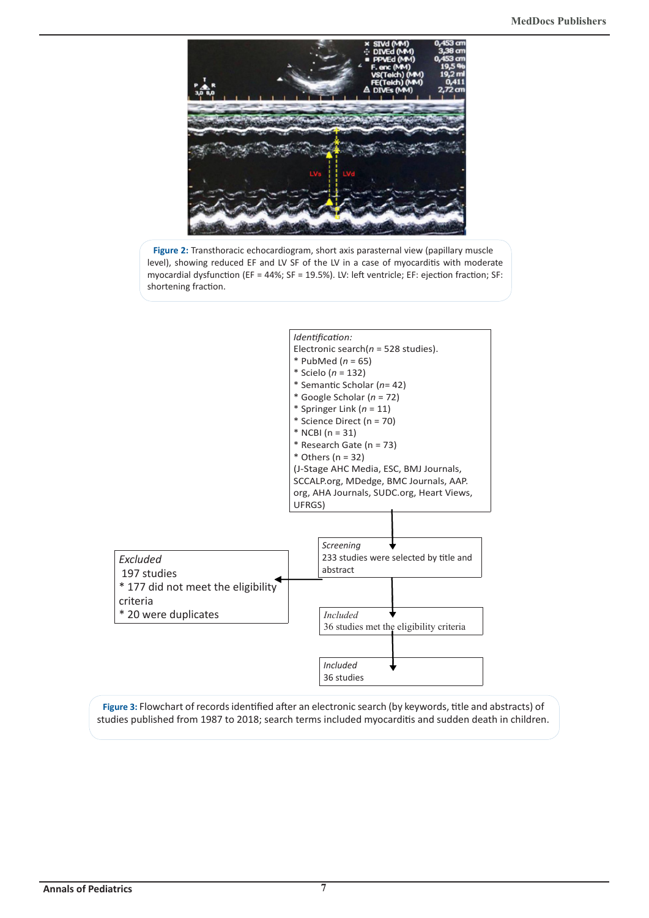

**Figure 2:** Transthoracic echocardiogram, short axis parasternal view (papillary muscle level), showing reduced EF and LV SF of the LV in a case of myocarditis with moderate myocardial dysfunction (EF = 44%; SF = 19.5%). LV: left ventricle; EF: ejection fraction; SF: shortening fraction.



**Figure 3:** Flowchart of records identified after an electronic search (by keywords, title and abstracts) of studies published from 1987 to 2018; search terms included myocarditis and sudden death in children.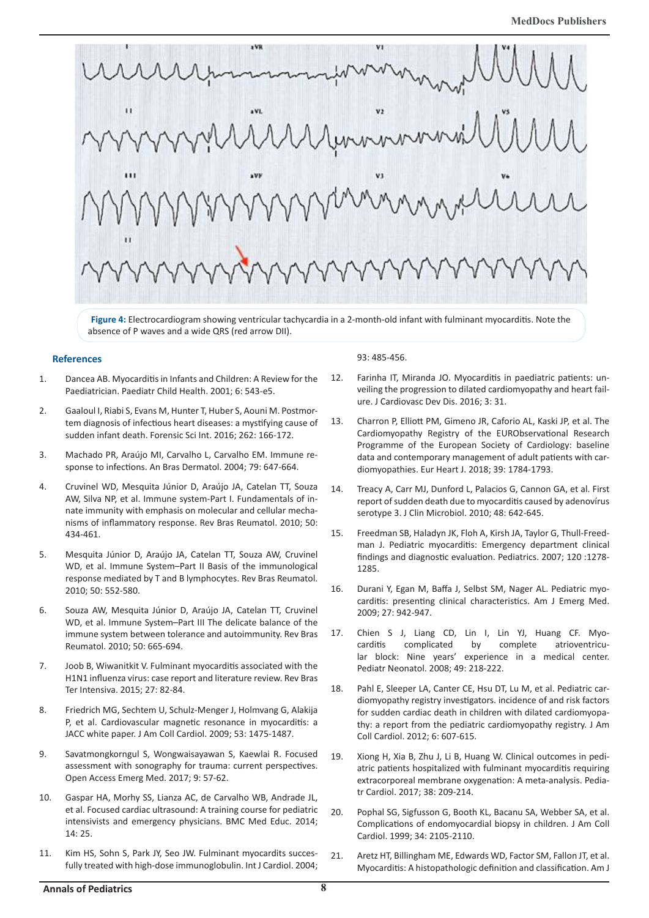

**Figure 4:** Electrocardiogram showing ventricular tachycardia in a 2-month-old infant with fulminant myocarditis. Note the absence of P waves and a wide QRS (red arrow DII).

#### **References**

- 1. Dancea AB. Myocarditis in Infants and Children: A Review for the Paediatrician. Paediatr Child Health. 2001; 6: 543-e5.
- 2. Gaaloul I, Riabi S, Evans M, Hunter T, Huber S, Aouni M. Postmortem diagnosis of infectious heart diseases: a mystifying cause of sudden infant death. Forensic Sci Int. 2016; 262: 166-172.
- 3. Machado PR, Araújo MI, Carvalho L, Carvalho EM. Immune response to infections. An Bras Dermatol. 2004; 79: 647-664.
- 4. Cruvinel WD, Mesquita Júnior D, Araújo JA, Catelan TT, Souza AW, Silva NP, et al. Immune system-Part I. Fundamentals of innate immunity with emphasis on molecular and cellular mechanisms of inflammatory response. Rev Bras Reumatol. 2010; 50: 434-461.
- 5. Mesquita Júnior D, Araújo JA, Catelan TT, Souza AW, Cruvinel WD, et al. Immune System–Part II Basis of the immunological response mediated by T and B lymphocytes. Rev Bras Reumatol. 2010; 50: 552-580.
- 6. Souza AW, Mesquita Júnior D, Araújo JA, Catelan TT, Cruvinel WD, et al. Immune System–Part III The delicate balance of the immune system between tolerance and autoimmunity. Rev Bras Reumatol. 2010; 50: 665-694.
- 7. Joob B, Wiwanitkit V. Fulminant myocarditis associated with the H1N1 influenza virus: case report and literature review. Rev Bras Ter Intensiva. 2015; 27: 82-84.
- 8. Friedrich MG, Sechtem U, Schulz-Menger J, Holmvang G, Alakija P, et al. Cardiovascular magnetic resonance in myocarditis: a JACC white paper. J Am Coll Cardiol. 2009; 53: 1475-1487.
- 9. Savatmongkorngul S, Wongwaisayawan S, Kaewlai R. Focused assessment with sonography for trauma: current perspectives. Open Access Emerg Med. 2017; 9: 57-62.
- 10. Gaspar HA, Morhy SS, Lianza AC, de Carvalho WB, Andrade JL, et al. Focused cardiac ultrasound: A training course for pediatric intensivists and emergency physicians. BMC Med Educ. 2014; 14: 25.
- 11. Kim HS, Sohn S, Park JY, Seo JW. Fulminant myocardits succesfully treated with high-dose immunoglobulin. Int J Cardiol. 2004;

93: 485-456.

- 12. Farinha IT, Miranda JO. Myocarditis in paediatric patients: unveiling the progression to dilated cardiomyopathy and heart failure. J Cardiovasc Dev Dis. 2016; 3: 31.
- 13. Charron P, Elliott PM, Gimeno JR, Caforio AL, Kaski JP, et al. The Cardiomyopathy Registry of the EURObservational Research Programme of the European Society of Cardiology: baseline data and contemporary management of adult patients with cardiomyopathies. Eur Heart J. 2018; 39: 1784-1793.
- 14. Treacy A, Carr MJ, Dunford L, Palacios G, Cannon GA, et al. First report of sudden death due to myocarditis caused by adenovírus serotype 3. J Clin Microbiol. 2010; 48: 642-645.
- 15. Freedman SB, Haladyn JK, Floh A, Kirsh JA, Taylor G, Thull-Freedman J. Pediatric myocarditis: Emergency department clinical findings and diagnostic evaluation. Pediatrics. 2007; 120 :1278- 1285.
- 16. Durani Y, Egan M, Baffa J, Selbst SM, Nager AL. Pediatric myocarditis: presenting clinical characteristics. Am J Emerg Med. 2009; 27: 942-947.
- 17. Chien S J, Liang CD, Lin I, Lin YJ, Huang CF. Myocarditis complicated by complete atrioventricular block: Nine years' experience in a medical center. Pediatr Neonatol. 2008; 49: 218-222.
- 18. Pahl E, Sleeper LA, Canter CE, Hsu DT, Lu M, et al. Pediatric cardiomyopathy registry investigators. incidence of and risk factors for sudden cardiac death in children with dilated cardiomyopathy: a report from the pediatric cardiomyopathy registry. J Am Coll Cardiol. 2012; 6: 607-615.
- 19. Xiong H, Xia B, Zhu J, Li B, Huang W. Clinical outcomes in pediatric patients hospitalized with fulminant myocarditis requiring extracorporeal membrane oxygenation: A meta-analysis. Pediatr Cardiol. 2017; 38: 209-214.
- 20. Pophal SG, Sigfusson G, Booth KL, Bacanu SA, Webber SA, et al. Complications of endomyocardial biopsy in children. J Am Coll Cardiol. 1999; 34: 2105-2110.
- 21. Aretz HT, Billingham ME, Edwards WD, Factor SM, Fallon JT, et al. Myocarditis: A histopathologic definition and classification. Am J